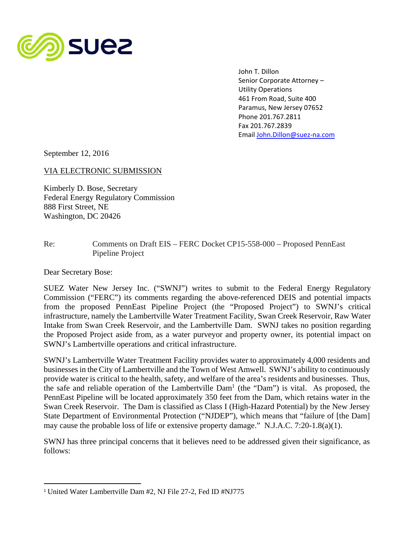

 John T. Dillon Senior Corporate Attorney – Utility Operations 461 From Road, Suite 400 Paramus, New Jersey 07652 Phone 201.767.2811 Fax 201.767.2839 Email John.Dillon@suez‐na.com

September 12, 2016

## VIA ELECTRONIC SUBMISSION

Kimberly D. Bose, Secretary Federal Energy Regulatory Commission 888 First Street, NE Washington, DC 20426

## Re: Comments on Draft EIS – FERC Docket CP15-558-000 – Proposed PennEast Pipeline Project

Dear Secretary Bose:

SUEZ Water New Jersey Inc. ("SWNJ") writes to submit to the Federal Energy Regulatory Commission ("FERC") its comments regarding the above-referenced DEIS and potential impacts from the proposed PennEast Pipeline Project (the "Proposed Project") to SWNJ's critical infrastructure, namely the Lambertville Water Treatment Facility, Swan Creek Reservoir, Raw Water Intake from Swan Creek Reservoir, and the Lambertville Dam. SWNJ takes no position regarding the Proposed Project aside from, as a water purveyor and property owner, its potential impact on SWNJ's Lambertville operations and critical infrastructure.

SWNJ's Lambertville Water Treatment Facility provides water to approximately 4,000 residents and businesses in the City of Lambertville and the Town of West Amwell. SWNJ's ability to continuously provide water is critical to the health, safety, and welfare of the area's residents and businesses. Thus, the safe and reliable operation of the Lambertville  $Dam<sup>1</sup>$  (the "Dam") is vital. As proposed, the PennEast Pipeline will be located approximately 350 feet from the Dam, which retains water in the Swan Creek Reservoir. The Dam is classified as Class I (High-Hazard Potential) by the New Jersey State Department of Environmental Protection ("NJDEP"), which means that "failure of [the Dam] may cause the probable loss of life or extensive property damage." N.J.A.C. 7:20-1.8(a)(1).

SWNJ has three principal concerns that it believes need to be addressed given their significance, as follows:

<sup>1</sup> United Water Lambertville Dam #2, NJ File 27-2, Fed ID #NJ775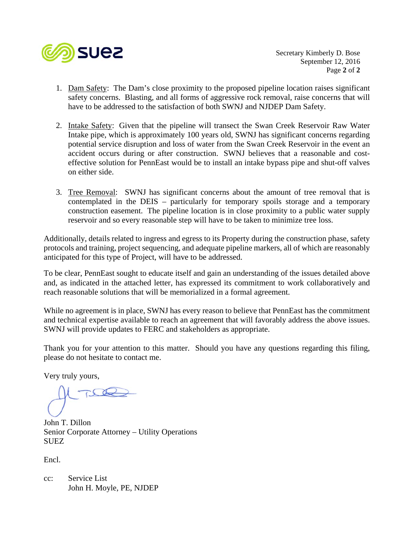

 Secretary Kimberly D. Bose September 12, 2016 Page **2** of **2**

- 1. Dam Safety: The Dam's close proximity to the proposed pipeline location raises significant safety concerns. Blasting, and all forms of aggressive rock removal, raise concerns that will have to be addressed to the satisfaction of both SWNJ and NJDEP Dam Safety.
- 2. Intake Safety: Given that the pipeline will transect the Swan Creek Reservoir Raw Water Intake pipe, which is approximately 100 years old, SWNJ has significant concerns regarding potential service disruption and loss of water from the Swan Creek Reservoir in the event an accident occurs during or after construction. SWNJ believes that a reasonable and costeffective solution for PennEast would be to install an intake bypass pipe and shut-off valves on either side.
- 3. Tree Removal: SWNJ has significant concerns about the amount of tree removal that is contemplated in the DEIS – particularly for temporary spoils storage and a temporary construction easement. The pipeline location is in close proximity to a public water supply reservoir and so every reasonable step will have to be taken to minimize tree loss.

Additionally, details related to ingress and egress to its Property during the construction phase, safety protocols and training, project sequencing, and adequate pipeline markers, all of which are reasonably anticipated for this type of Project, will have to be addressed.

To be clear, PennEast sought to educate itself and gain an understanding of the issues detailed above and, as indicated in the attached letter, has expressed its commitment to work collaboratively and reach reasonable solutions that will be memorialized in a formal agreement.

While no agreement is in place, SWNJ has every reason to believe that PennEast has the commitment and technical expertise available to reach an agreement that will favorably address the above issues. SWNJ will provide updates to FERC and stakeholders as appropriate.

Thank you for your attention to this matter. Should you have any questions regarding this filing, please do not hesitate to contact me.

Very truly yours,

John T. Dillon Senior Corporate Attorney – Utility Operations SUEZ

Encl.

cc: Service List John H. Moyle, PE, NJDEP